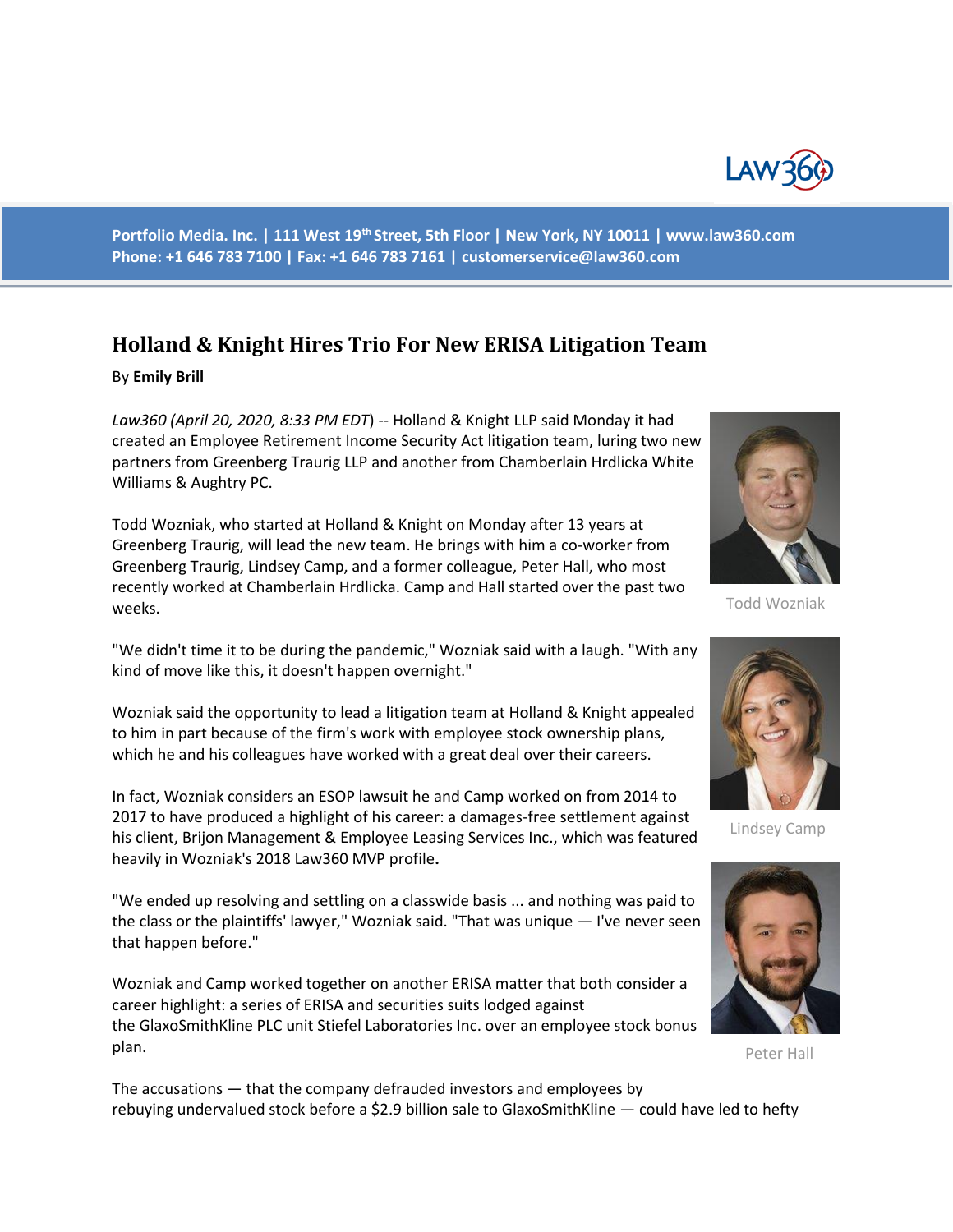

**Portfolio Media. Inc. | 111 West 19th Street, 5th Floor | New York, NY 10011 | www.law360.com Phone: +1 646 783 7100 | Fax: +1 646 783 7161 | customerservice@law360.com**

## **Holland & Knight Hires Trio For New ERISA Litigation Team**

## By **Emily Brill**

*Law360 (April 20, 2020, 8:33 PM EDT*) -- Holland & Knight LLP said Monday it had created an Employee Retirement Income Security Act litigation team, luring two new partners from Greenberg Traurig LLP and another from Chamberlain Hrdlicka White Williams & Aughtry PC.

Todd Wozniak, who started at Holland & Knight on Monday after 13 years at Greenberg Traurig, will lead the new team. He brings with him a co-worker from Greenberg Traurig, Lindsey Camp, and a former colleague, Peter Hall, who most recently worked at Chamberlain Hrdlicka. Camp and Hall started over the past two weeks.

"We didn't time it to be during the pandemic," Wozniak said with a laugh. "With any kind of move like this, it doesn't happen overnight."

Wozniak said the opportunity to lead a litigation team at Holland & Knight appealed to him in part because of the firm's work with employee stock ownership plans, which he and his colleagues have worked with a great deal over their careers.

In fact, Wozniak considers an ESOP lawsuit he and Camp worked on from 2014 to 2017 to have produced a highlight of his career: a damages-free settlement against his client, Brijon Management & Employee Leasing Services Inc., which was featured heavily in Wozniak's 2018 Law360 MVP profile**.**

"We ended up resolving and settling on a classwide basis ... and nothing was paid to the class or the plaintiffs' lawyer," Wozniak said. "That was unique — I've never seen that happen before."

Wozniak and Camp worked together on another ERISA matter that both consider a career highlight: a series of ERISA and securities suits lodged against the GlaxoSmithKline PLC unit Stiefel Laboratories Inc. over an employee stock bonus plan.

The accusations — that the company defrauded investors and employees by rebuying undervalued stock before a \$2.9 billion sale to GlaxoSmithKline — could have led to hefty



Todd Wozniak



Lindsey Camp



Peter Hall